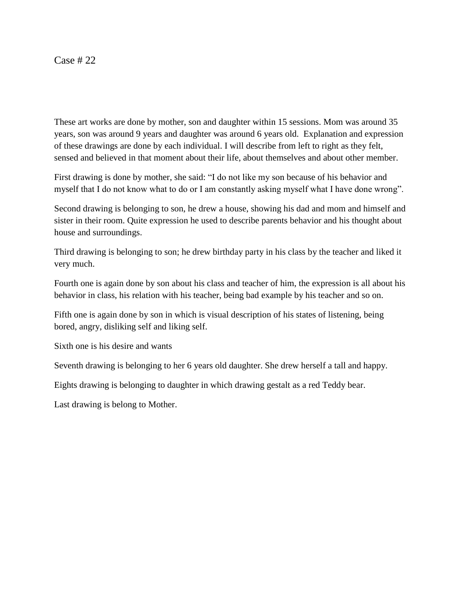## Case # 22

These art works are done by mother, son and daughter within 15 sessions. Mom was around 35 years, son was around 9 years and daughter was around 6 years old. Explanation and expression of these drawings are done by each individual. I will describe from left to right as they felt, sensed and believed in that moment about their life, about themselves and about other member.

First drawing is done by mother, she said: "I do not like my son because of his behavior and myself that I do not know what to do or I am constantly asking myself what I have done wrong".

Second drawing is belonging to son, he drew a house, showing his dad and mom and himself and sister in their room. Quite expression he used to describe parents behavior and his thought about house and surroundings.

Third drawing is belonging to son; he drew birthday party in his class by the teacher and liked it very much.

Fourth one is again done by son about his class and teacher of him, the expression is all about his behavior in class, his relation with his teacher, being bad example by his teacher and so on.

Fifth one is again done by son in which is visual description of his states of listening, being bored, angry, disliking self and liking self.

Sixth one is his desire and wants

Seventh drawing is belonging to her 6 years old daughter. She drew herself a tall and happy.

Eights drawing is belonging to daughter in which drawing gestalt as a red Teddy bear.

Last drawing is belong to Mother.